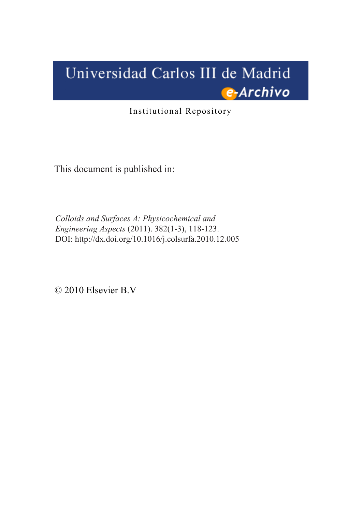# Universidad Carlos III de Madrid e-Archivo

Institutional Repository

This document is published in:

*Colloids and Surfaces A: Physicochemical and Engineering Aspects* (2011). 382(1-3), 118-123. DOI: <http://dx.doi.org/10.1016/j.colsurfa.2010.12.005>

© 2010 Elsevier B.V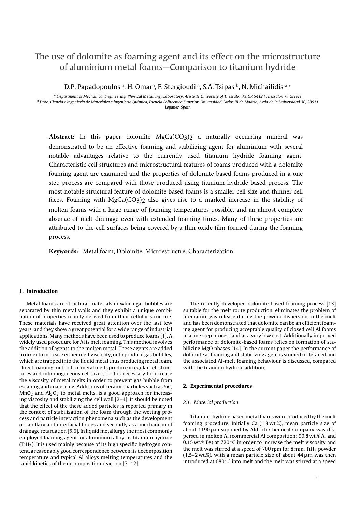# The use of dolomite as foaming agent and its effect on the microstructure of aluminium metal foams—Comparison to titanium hydride

D.P. Papadopoulos ª, H. Omarª, F. Stergioudi ª, S.A. Tsipas <sup>b</sup>, N. Michailidis ª<sup>,</sup>\*

a Department of Mechanical Engineering, Physical Metallurgy Laboratory, Aristotle University of Thessaloniki, GR 54124 Thessaloniki, Greece <sup>b</sup> Dpto. Ciencia e Ingenieria de Materiales e Ingenieria Quimica, Escuela Politecnica Superior, Universidad Carlos III de Madrid, Avda de la Universidad 30, 28911 Leganes, Spain

Abstract: In this paper dolomite MgCa(CO3)2 a naturally occurring mineral was demonstrated to be an effective foaming and stabilizing agent for aluminium with several notable advantages relative to the currently used titanium hydride foaming agent. Characteristic cell structures and microstructural features of foams produced with a dolomite foaming agent are examined and the properties of dolomite based foams produced in a one step process are compared with those produced using titanium hydride based process. The most notable structural feature of dolomite based foams is a smaller cell size and thinner cell faces. Foaming with  $MgCa(CO3)$  also gives rise to a marked increase in the stability of molten foams with a large range of foaming temperatures possible, and an almost complete absence of melt drainage even with extended foaming times. Many of these properties are attributed to the cell surfaces being covered by a thin oxide film formed during the foaming process.

**Keywords:** Metal foam, Dolomite, Microestructre, Characterization

# **1. Introduction**

Metal foams are structural materials in which gas bubbles are separated by thin metal walls and they exhibit a unique combination of properties mainly derived from their cellular structure. These materials have received great attention over the last few years, and they show a great potential for a wide range of industrial applications. Many methods have been used to produce foams [1]. A widely used procedure for Al is melt foaming. This method involves the addition of agents to the molten metal. These agents are added in order to increase either melt viscosity, or to produce gas bubbles, which are trapped into the liquid metal thus producing metal foam. Direct foaming methods of metal melts produce irregular cell structures and inhomogeneous cell sizes, so it is necessary to increase the viscosity of metal melts in order to prevent gas bubble from escaping and coalescing. Additions of ceramic particles such as SiC,  $MnO<sub>2</sub>$  and  $Al<sub>2</sub>O<sub>3</sub>$  to metal melts, is a good approach for increasing viscosity and stabilizing the cell wall [2–4]. It should be noted that the effect of the these added particles is reported primary in the context of stabilization of the foam through the wetting process and particle interaction phenomena such as the development of capillary and interfacial forces and secondly as a mechanism of drainage retardation [5,6]. In liquid metallurgy the most commonly employed foaming agent for aluminium alloys is titanium hydride  $(TiH<sub>2</sub>)$ . It is used mainly because of its high specific hydrogen content, a reasonably good correspondence between its decomposition temperature and typical Al alloys melting temperatures and the rapid kinetics of the decomposition reaction [7–12].

The recently developed dolomite based foaming process [13] suitable for the melt route production, eliminates the problem of premature gas release during the powder dispersion in the melt and has been demonstrated that dolomite can be an efficient foaming agent for producing acceptable quality of closed cell Al foams in a one step process and at a very low cost. Additionally improved performance of dolomite-based foams relies on formation of stabilizing MgO phases [14]. In the current paper the performance of dolomite as foaming and stabilizing agent is studied in detailed and the associated Al-melt foaming behaviour is discussed, compared with the titanium hydride addition.

#### **2. Experimental procedures**

# 2.1. Material production

Titanium hydride based metal foams were produced by the melt foaming procedure. Initially Ca (1.8 wt.%), mean particle size of  $a$ bout 1190  $\mu$ m supplied by Aldrich Chemical Company was dispersed in molten Al (commercial Al composition: 99.8 wt.% Al and 0.15 wt.% Fe) at 720 $\degree$ C in order to increase the melt viscosity and the melt was stirred at a speed of 700 rpm for 8 min. Ti $H_2$  powder (1.5–2 wt.%), with a mean particle size of about  $44\,\mu$ m was then introduced at 680 ◦C into melt and the melt was stirred at a speed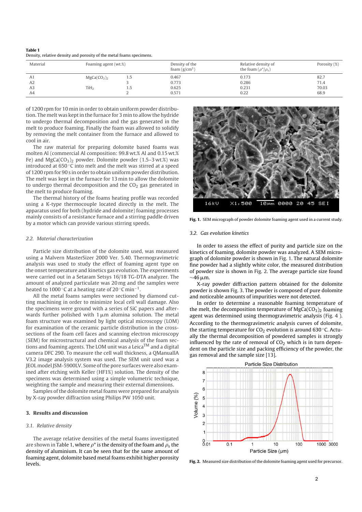**Table 1** Density, relative density and porosity of the metal foams specimens.

| Material       | Foaming agent (wt.%)                |     | Density of the<br>foam $(g/cm^3)$ | Relative density of<br>the foam ( $\rho^*/\rho_s$ ) | Porosity (%) |
|----------------|-------------------------------------|-----|-----------------------------------|-----------------------------------------------------|--------------|
| A1             | MgCa(CO <sub>3</sub> ) <sub>2</sub> | L.5 | 0.467                             | 0.173                                               | 82.7         |
| A2             |                                     |     | 0.773                             | 0.286                                               | 71.4         |
| A <sub>3</sub> | TiH <sub>2</sub>                    | 1.5 | 0.625                             | 0.231                                               | 70.03        |
| A4             |                                     |     | 0.571                             | 0.22                                                | 68.9         |

of 1200 rpm for 10 min in order to obtain uniform powder distribution. The melt was kept in the furnace for 3 min to allow the hydride to undergo thermal decomposition and the gas generated in the melt to produce foaming. Finally the foam was allowed to solidify by removing the melt container from the furnace and allowed to cool in air.

The raw material for preparing dolomite based foams was molten Al (commercial Al composition: 99.8 wt.% Al and 0.15 wt.% Fe) and MgCa $(CO_3)_2$  powder. Dolomite powder  $(1.5-3 \text{ wt.})$  was introduced at 650 ◦C into melt and the melt was stirred at a speed of 1200 rpm for 90 s in order to obtain uniform powder distribution. The melt was kept in the furnace for 13 min to allow the dolomite to undergo thermal decomposition and the  $CO<sub>2</sub>$  gas generated in the melt to produce foaming.

The thermal history of the foams heating profile was recorded using a K-type thermocouple located directly in the melt. The apparatus used for both (hydride and dolomite) foaming processes mainly consists of a resistance furnace and a stirring paddle driven by a motor which can provide various stirring speeds.

# 2.2. Material characterization

Particle size distribution of the dolomite used, was measured using a Malvern MasterSizer 2000 Ver. 5.40. Thermogravimetric analysis was used to study the effect of foaming agent type on the onset temperature and kinetics gas evolution. The experiments were carried out in a Setaram Setsys 16/18 TG-DTA analyzer. The amount of analyzed particulate was 20 mg and the samples were heated to 1000 °C at a heating rate of 20 °C min<sup>-1</sup>.

All the metal foams samples were sectioned by diamond cutting machining in order to minimize local cell wall damage. Also the specimens were ground with a series of SiC papers and afterwards further polished with 1  $\mu$ m alumina solution. The metal foam structure was examined by light optical microscopy (LOM) for examination of the ceramic particle distribution in the crosssections of the foam cell faces and scanning electron microscopy (SEM) for microstructural and chemical analysis of the foam sections and foaming agents. The LOM unit was a Leica $^{TM}$  and a digital camera DFC 290. To measure the cell wall thickness, a QManuallA V3.2 image analysis system was used. The SEM unit used was a JEOL model JSM-5900LV. Some of the pore surfaces were also examined after etching with Keller (HF1%) solution. The density of the specimens was determined using a simple volumetric technique, weighting the sample and measuring their external dimensions.

Samples of the dolomite metal foams were prepared for analysis by X-ray powder diffraction using Philips PW 1050 unit.

# **3. Results and discussion**

#### 3.1. Relative density

The average relative densities of the metal foams investigated are shown in Table 1, where  $\rho^*$  is the density of the foam and  $\rho_{\mathsf{s}}$  the density of aluminium. It can be seen that for the same amount of foaming agent, dolomite based metal foams exhibit higher porosity levels.



**Fig. 1.** SEM micrograph of powder dolomite foaming agent used in a current study.

#### 3.2. Gas evolution kinetics

In order to assess the effect of purity and particle size on the kinetics of foaming, dolomite powder was analyzed. A SEM micrograph of dolomite powder is shown in Fig. 1. The natural dolomite fine powder had a slightly white color, the measured distribution of powder size is shown in Fig. 2. The average particle size found  $\sim$ 46 µm.

X-ray powder diffraction pattern obtained for the dolomite powder is shown Fig. 3. The powder is composed of pure dolomite and noticeable amounts of impurities were not detected.

In order to determine a reasonable foaming temperature of the melt, the decomposition temperature of  $MgCa(CO<sub>3</sub>)<sub>2</sub>$  foaming agent was determined using thermogravimetric analysis (Fig. 4 ). According to the thermogravimetric analysis curves of dolomite, the starting temperature for  $CO<sub>2</sub>$  evolution is around 630 °C. Actually the thermal decomposition of powdered samples is strongly influenced by the rate of removal of  $CO<sub>2</sub>$  which is in turn dependent on the particle size and packing efficiency of the powder, the gas removal and the sample size [13].



**Fig. 2.** Measured size distribution of the dolomite foaming agent used for precursor.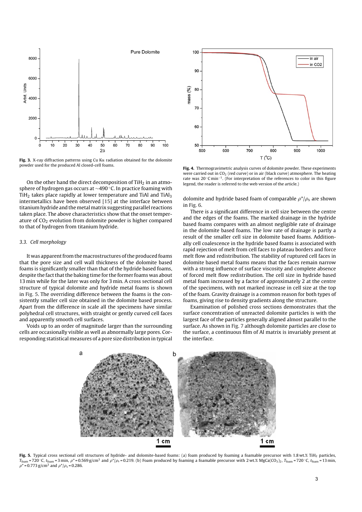

Fig. 3. X-ray diffraction patterns using Cu K $\alpha$  radiation obtained for the dolomite powder used for the produced Al closed-cell foams.

On the other hand the direct decomposition of TiH<sub>2</sub> in an atmosphere of hydrogen gas occurs at ∼490 ◦C. In practice foaming with Ti $H_2$  takes place rapidly at lower temperature and TiAl and TiAl<sub>3</sub> intermetallics have been observed [15] at the interface between titanium hydride and the metal matrix suggesting parallel reactions taken place. The above characteristics show that the onset temperature of  $CO<sub>2</sub>$  evolution from dolomite powder is higher compared to that of hydrogen from titanium hydride.

# 3.3. Cell morphology

It was apparent from the macrostructures of the produced foams that the pore size and cell wall thickness of the dolomite based foams is significantly smaller than that of the hydride based foams, despite the fact that the baking time for the former foams was about 13 min while for the later was only for 3 min. A cross sectional cell structure of typical dolomite and hydride metal foams is shown in Fig. 5. The overriding difference between the foams is the consistently smaller cell size obtained in the dolomite based process. Apart from the difference in scale all the specimens have similar polyhedral cell structures, with straight or gently curved cell faces and apparently smooth cell surfaces.

Voids up to an order of magnitude larger than the surrounding cells are occasionally visible as well as abnormally large pores. Corresponding statistical measures of a pore size distribution in typical



**Fig. 4.** Thermogravimetric analysis curves of dolomite powder. These experiments were carried out in  $CO<sub>2</sub>$  (red curve) or in air (black curve) atmosphere. The heating rate was 20 ◦C min−1. (For interpretation of the references to color in this figure legend, the reader is referred to the web version of the article.)

dolomite and hydride based foam of comparable  $\rho^*/\rho_{\rm s}$  are shown in Fig. 6.

There is a significant difference in cell size between the centre and the edges of the foams. The marked drainage in the hydride based foams compares with an almost negligible rate of drainage in the dolomite based foams. The low rate of drainage is partly a result of the smaller cell size in dolomite based foams. Additionally cell coalescence in the hydride based foams is associated with rapid rejection of melt from cell faces to plateau borders and force melt flow and redistribution. The stability of ruptured cell faces in dolomite based metal foams means that the faces remain narrow with a strong influence of surface viscosity and complete absence of forced melt flow redistribution. The cell size in hydride based metal foam increased by a factor of approximately 2 at the centre of the specimens, with not marked increase in cell size at the top of the foam. Gravity drainage is a common reason for both types of foams, giving rise to density gradients along the structure.

Examination of polished cross sections demonstrates that the surface concentration of unreacted dolomite particles is with the largest face of the particles generally aligned almost parallel to the surface. As shown in Fig. 7 although dolomite particles are close to the surface, a continuous film of Al matrix is invariably present at the interface.



Fig. 5. Typical cross sectional cell structures of hydride- and dolomite-based foams: (a) foam produced by foaming a foamable precursor with 1.8 wt.% TiH<sub>2</sub> particles,  $T_{\text{foam}}$  = 720 °C, t<sub>foam</sub> = 3 min,  $\rho^*$  = 0.569 g/cm<sup>3</sup> and  $\rho^*/\rho_s$  = 0.219. (b) Foam produced by foaming a foamable precursor with 2 wt.% MgCa(CO<sub>3</sub>)<sub>2</sub>, T<sub>foam</sub> = 720 °C, t<sub>foam</sub> = 13 min,  $\rho^*$ =0.773 g/cm<sup>3</sup> and  $\rho^*$ / $\rho_s$ =0.286.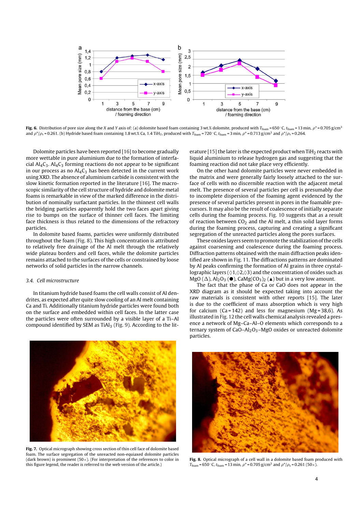

**Fig. 6.** Distribution of pore size along the X and Y axis of: (a) dolomite based foam containing 3 wt.% dolomite, produced with  $T_{\rm foam}$  = 650 °C, t<sub>foam</sub> = 13 min,  $\rho^*$  = 0.705 g/cm<sup>3</sup> and  $\rho^*/\rho_s$  = 0.261. (b) Hydride based foam containing 1.8 wt.% Ca, 1.4 TiH<sub>2</sub>, produced with T<sub>foam</sub> = 720 °C, t<sub>foam</sub> = 3 min,  $\rho^*$  = 0.713 g/cm<sup>3</sup> and  $\rho^*/\rho_s$  = 0.264.

Dolomite particles have been reported [16] to become gradually more wettable in pure aluminium due to the formation of interfacial  $Al_4C_3$ .  $Al_4C_3$  forming reactions do not appear to be significant in our process as no  $\text{Al}_4\text{C}_3$  has been detected in the current work using XRD. The absence of aluminium carbide is consistent with the slow kinetic formation reported in the literature [16]. The macroscopic similarity of the cell structure of hydride and dolomite metal foams is remarkable in view of the marked difference in the distribution of nominally surfactant particles. In the thinnest cell walls the bridging particles apparently hold the two faces apart giving rise to bumps on the surface of thinner cell faces. The limiting face thickness is thus related to the dimensions of the refractory particles.

In dolomite based foams, particles were uniformly distributed throughout the foam (Fig. 8). This high concentration is attributed to relatively free drainage of the Al melt through the relatively wide plateau borders and cell faces, while the dolomite particles remains attached to the surfaces of the cells or constrained by loose networks of solid particles in the narrow channels.

#### 3.4. Cell microstructure

In titanium hydride based foams the cell walls consist of Al dendrites, as expected after quite slow cooling of an Al melt containing Ca and Ti. Additionally titanium hydride particles were found both on the surface and embedded within cell faces. In the latter case the particles were often surrounded by a visible layer of a Ti–Al compound identified by SEM as TiAl $_3$  (Fig. 9). According to the literature [15] the later is the expected product when TiH<sub>2</sub> reacts with liquid aluminium to release hydrogen gas and suggesting that the foaming reaction did not take place very efficiently.

On the other hand dolomite particles were never embedded in the matrix and were generally fairly loosely attached to the surface of cells with no discernible reaction with the adjacent metal melt. The presence of several particles per cell is presumably due to incomplete dispersion of the foaming agent evidenced by the presence of several particles present in pores in the foamable precursors. It may also be the result of coalescence of initially separate cells during the foaming process. Fig. 10 suggests that as a result of reaction between  $CO<sub>2</sub>$  and the Al melt, a thin solid layer forms during the foaming process, capturing and creating a significant segregation of the unreacted particles along the pores surfaces.

These oxides layers seem to promote the stabilization of the cells against coarsening and coalescence during the foaming process. Diffraction patterns obtained with the main diffraction peaks identified are shown in Fig. 11. The diffractions patterns are dominated by Al peaks confirming the formation of Al grains in three crystallographic layers ( $\Diamond$ 1, $\Diamond$ 2, $\Diamond$ 3) and the concentration of oxides such as  $M$ gO ( $\Delta$ ), Al<sub>2</sub>O<sub>3</sub> ( $\bullet$ ), CaMg(CO<sub>3</sub>)<sub>2</sub> ( $\triangle$ ) but in a very low amount.

The fact that the phase of Ca or CaO does not appear in the XRD diagram as it should be expected taking into account the raw materials is consistent with other reports [15]. The later is due to the coefficient of mass absorption which is very high for calcium  $(Ca = 142)$  and less for magnesium  $(Mg = 38,6)$ . As illustrated in Fig. 12 the cell walls chemical analysis revealed a presence a network of Mg–Ca–Al–O elements which corresponds to a ternary system of  $CaO-Al<sub>2</sub>O<sub>3</sub>–MgO$  oxides or unreacted dolomite particles.



**Fig. 7.** Optical micrograph showing cross section of thin cell face of dolomite based foam. The surface segregation of the unreacted non-equiaxed dolomite particles (dark brown) is prominent (50 $\times$ ). (For interpretation of the references to color in this figure legend, the reader is referred to the web version of the article.)



**Fig. 8.** Optical micrograph of a cell wall in a dolomite based foam produced with  $T_{\text{foam}}$  = 650 °C,  $t_{\text{foam}}$  = 13 min,  $\rho^*$  = 0.705 g/cm<sup>3</sup> and  $\rho^*/\rho_s$  = 0.261 (50 $\times$ ).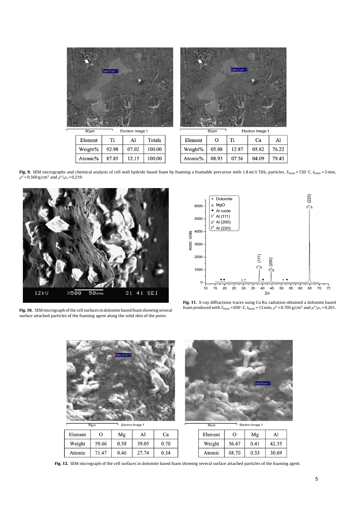

| Element | Ti    | Al    | Totals |  |  |
|---------|-------|-------|--------|--|--|
| Weight% | 92.98 | 07.02 | 100.00 |  |  |
| Atomic% | 87.85 | 12.15 | 100.00 |  |  |

|         | 60um  | Electron Image 1 |       |       |  |
|---------|-------|------------------|-------|-------|--|
| Element | O     | Ti               | Ca    | Al    |  |
| Weight% | 05.08 | 12.87            | 05.82 | 76.22 |  |
| Atomic% | 08.93 | 07.56            | 04.09 | 79.43 |  |

**Fig. 9.** SEM micrographs and chemical analysis of cell wall hydride based foam by foaming a foamable precursor with 1.8 wt.% TiH<sub>2</sub> particles, T<sub>foam</sub> = 720 °C, t<sub>foam</sub> = 3 min,  $\rho^*$ =0.569 g/cm<sup>3</sup> and  $\rho^*/\rho_s$ =0.219.



**Fig. 10.** SEM micrograph of the cell surfaces in dolomite based foam showing several surface attached particles of the foaming agent along the solid skin of the pores.



Fig. 11. X-ray diffractions traces using Cu K $\alpha$  radiation obtained a dolomite based foam produced with  $T_{\text{foam}}$  = 650 °C,  $t_{\text{foam}}$  = 13 min,  $\rho^*$  = 0.705 g/cm<sup>3</sup> and  $\rho^* / \rho_s$  = 0.261.



| Element | O     | Mg   | Al    | Ca   |
|---------|-------|------|-------|------|
| Weight  | 59.66 | 0.58 | 39.05 | 0.70 |
| Atomic  | 71.47 | 0.46 | 27.74 | 0.34 |

| Element | Ω     | Mg   | Al    |
|---------|-------|------|-------|
| Weight  | 56.47 | 0.41 | 42.55 |
| Atomic  | 68.70 | 0.33 | 30.69 |

**Fig. 12.** SEM micrograph of the cell surfaces in dolomite based foam showing several surface attached particles of the foaming agent.